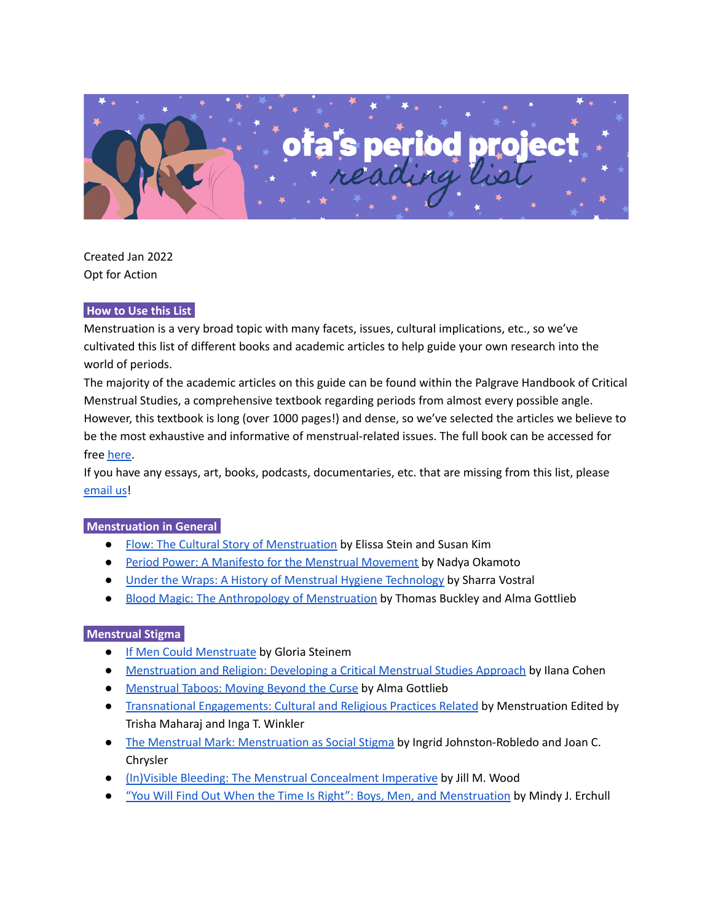

Created Jan 2022 Opt for Action

#### **How to Use this List.**

Menstruation is a very broad topic with many facets, issues, cultural implications, etc., so we've cultivated this list of different books and academic articles to help guide your own research into the world of periods.

The majority of the academic articles on this guide can be found within the Palgrave Handbook of Critical Menstrual Studies, a comprehensive textbook regarding periods from almost every possible angle. However, this textbook is long (over 1000 pages!) and dense, so we've selected the articles we believe to be the most exhaustive and informative of menstrual-related issues. The full book can be accessed for free [here.](https://link.springer.com/book/10.1007%2F978-981-15-0614-7)

If you have any essays, art, books, podcasts, documentaries, etc. that are missing from this list, please [email](mailto:optforactionbstx@gmail.com) us!

#### **Menstruation in General.**

- Flow: The Cultural Story of [Menstruation](https://books.google.com/books/about/Flow.html?id=Cmeg-CVLHiEC&source=kp_book_description) by Elissa Stein and Susan Kim
- Period Power: A Manifesto for the Menstrual [Movement](https://www.google.com/books/edition/Period_Power/acVWDwAAQBAJ?hl=en&gbpv=0) by Nadya Okamoto
- Under the Wraps: A History of Menstrual Hygiene [Technology](https://www.google.com/books/edition/Under_Wraps/PWA0yisYPnEC?hl=en&gbpv=0) by Sharra Vostral
- Blood Magic: The Anthropology of [Menstruation](https://www.google.com/books/edition/Blood_Magic/f6IwDwAAQBAJ?hl=en&gbpv=0) by Thomas Buckley and Alma Gottlieb

#### **Menstrual Stigma.**

- If Men Could [Menstruate](http://ww3.haverford.edu/psychology/ddavis/p109g/steinem.menstruate.html) by Gloria Steinem
- [Menstruation](https://www.ncbi.nlm.nih.gov/books/NBK565592/) and Religion: Developing a Critical Menstrual Studies Approach by Ilana Cohen
- [Menstrual](https://pubmed.ncbi.nlm.nih.gov/33347165/) Taboos: Moving Beyond the Curse by Alma Gottlieb
- Transnational [Engagements:](https://link.springer.com/chapter/10.1007/978-981-15-0614-7_15) Cultural and Religious Practices Related by Menstruation Edited by Trisha Maharaj and Inga T. Winkler
- The Menstrual Mark: [Menstruation](https://www.researchgate.net/profile/Joan-Chrisler/publication/225143159_The_Menstrual_Mark_Menstruation_as_Social_Stigma/links/55d5f08a08aec156b9a6da8f/The-Menstrual-Mark-Menstruation-as-Social-Stigma.pdf) as Social Stigma by Ingrid Johnston-Robledo and Joan C. Chrysler
- (In)Visible Bleeding: The Menstrual [Concealment](https://www.semanticscholar.org/paper/(In)Visible-Bleeding%3A-The-Menstrual-Concealment-Wood/b5066d656fef9b453ad8e3ebf09e165bd699013b) Imperative by Jill M. Wood
- "You Will Find Out When the Time Is Right": Boys, Men, and [Menstruation](https://link.springer.com/chapter/10.1007/978-981-15-0614-7_31) by Mindy J. Erchull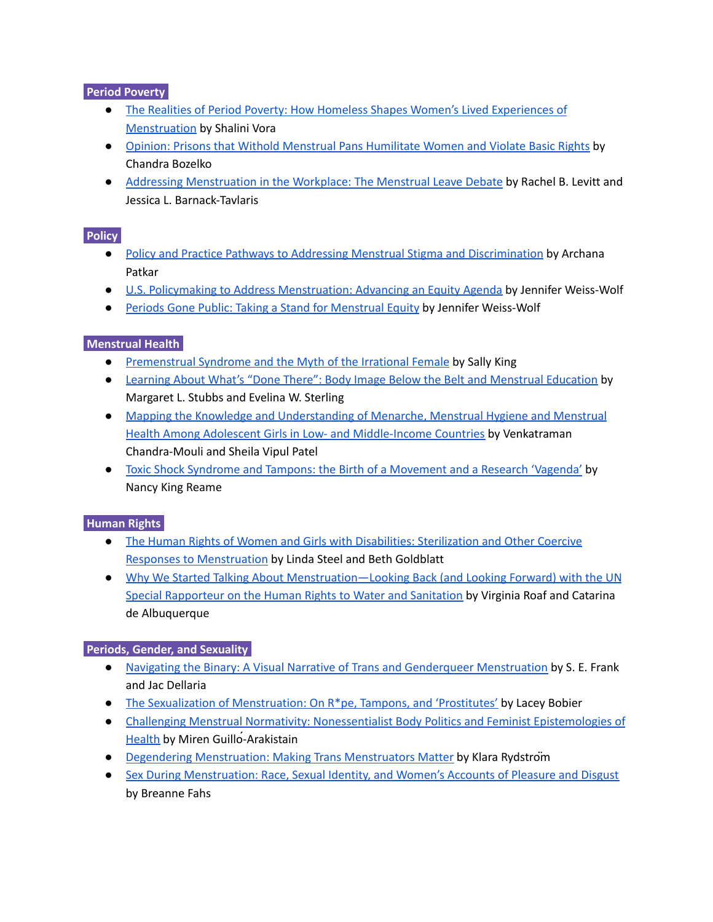## **Period Poverty.**

- The Realities of Period Poverty: How Homeless Shapes Women's Lived [Experiences](https://link.springer.com/chapter/10.1007/978-981-15-0614-7_4) of [Menstruation](https://link.springer.com/chapter/10.1007/978-981-15-0614-7_4) by Shalini Vora
- Opinion: Prisons that Withold Menstrual Pans [Humilitate](https://www.ncbi.nlm.nih.gov/books/NBK565618/) Women and Violate Basic Rights by Chandra Bozelko
- Addressing [Menstruation](https://pubmed.ncbi.nlm.nih.gov/33347190/) in the Workplace: The Menstrual Leave Debate by Rachel B. Levitt and Jessica L. Barnack-Tavlaris

## **Policy.**

- Policy and Practice Pathways to Addressing Menstrual Stigma and [Discrimination](https://link.springer.com/chapter/10.1007/978-981-15-0614-7_38) by Archana Patkar
- U.S. Policymaking to Address [Menstruation:](https://scholarship.law.wm.edu/cgi/viewcontent.cgi?article=1501&context=wmjowl) Advancing an Equity Agenda by Jennifer Weiss-Wolf
- Periods Gone Public: Taking a Stand for [Menstrual](https://www.google.com/books/edition/Periods_Gone_Public/rzyCDwAAQBAJ?hl=en&gbpv=0) Equity by Jennifer Weiss-Wolf

# **Menstrual Health.**

- [Premenstrual](https://pubmed.ncbi.nlm.nih.gov/33347177/) Syndrome and the Myth of the Irrational Female by Sally King
- Learning About What's "Done There": Body Image Below the Belt and [Menstrual](https://pubmed.ncbi.nlm.nih.gov/33347189/) Education by Margaret L. Stubbs and Evelina W. Sterling
- Mapping the Knowledge and [Understanding](https://reproductive-health-journal.biomedcentral.com/articles/10.1186/s12978-017-0293-6) of Menarche, Menstrual Hygiene and Menstrual Health Among Adolescent Girls in Low- and [Middle-Income](https://reproductive-health-journal.biomedcentral.com/articles/10.1186/s12978-017-0293-6) Countries by Venkatraman Chandra-Mouli and Sheila Vipul Patel
- Toxic Shock Syndrome and Tampons: the Birth of a [Movement](https://www.ncbi.nlm.nih.gov/books/NBK565591/) and a Research 'Vagenda' by Nancy King Reame

## **Human Rights.**

- The Human Rights of Women and Girls with Disabilities: [Sterilization](https://pubmed.ncbi.nlm.nih.gov/33347162/) and Other Coercive Responses to [Menstruation](https://pubmed.ncbi.nlm.nih.gov/33347162/) by Linda Steel and Beth Goldblatt
- Why We Started Talking About [Menstruation—Looking](https://pubmed.ncbi.nlm.nih.gov/33347159/) Back (and Looking Forward) with the UN Special [Rapporteur](https://pubmed.ncbi.nlm.nih.gov/33347159/) on the Human Rights to Water and Sanitation by Virginia Roaf and Catarina de Albuquerque

## **Periods, Gender, and Sexuality.**

- Navigating the Binary: A Visual Narrative of Trans and Genderqueer [Menstruation](https://link.springer.com/chapter/10.1007/978-981-15-0614-7_7) by S. E. Frank and Jac Dellaria
- The Sexualization of [Menstruation:](https://pubmed.ncbi.nlm.nih.gov/33347172/) On R\*pe, Tampons, and 'Prostitutes' by Lacey Bobier
- Challenging Menstrual Normativity: [Nonessentialist](https://pubmed.ncbi.nlm.nih.gov/33347176/) Body Politics and Feminist Epistemologies of [Health](https://pubmed.ncbi.nlm.nih.gov/33347176/) by Miren Guillo-Arakistain
- Degendering [Menstruation:](https://www.ncbi.nlm.nih.gov/books/NBK565621/) Making Trans Menstruators Matter by Klara Rydström
- Sex During [Menstruation:](https://pubmed.ncbi.nlm.nih.gov/33347212/) Race, Sexual Identity, and Women's Accounts of Pleasure and Disgust by Breanne Fahs